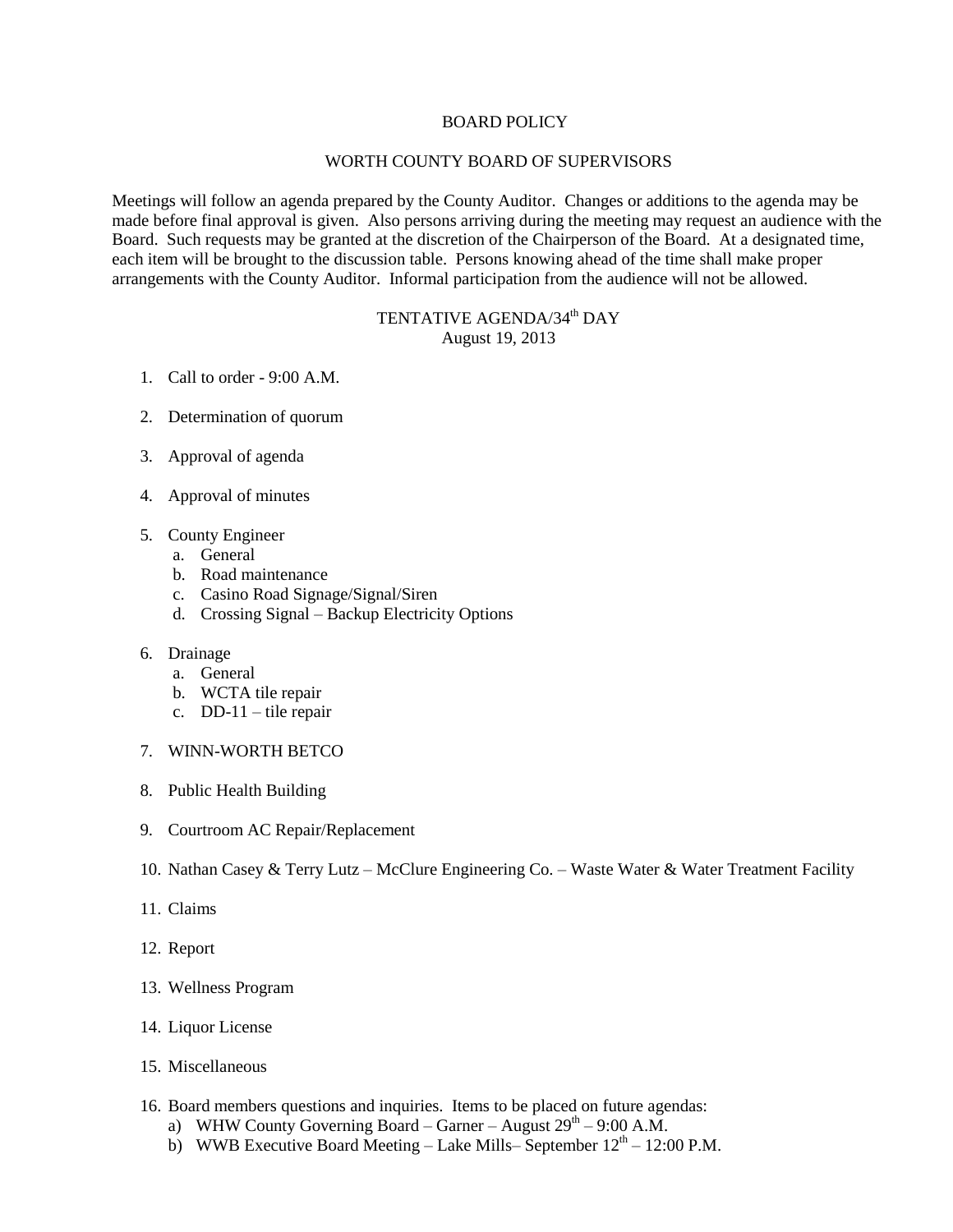## BOARD POLICY

## WORTH COUNTY BOARD OF SUPERVISORS

Meetings will follow an agenda prepared by the County Auditor. Changes or additions to the agenda may be made before final approval is given. Also persons arriving during the meeting may request an audience with the Board. Such requests may be granted at the discretion of the Chairperson of the Board. At a designated time, each item will be brought to the discussion table. Persons knowing ahead of the time shall make proper arrangements with the County Auditor. Informal participation from the audience will not be allowed.

## TENTATIVE AGENDA/34<sup>th</sup> DAY August 19, 2013

- 1. Call to order 9:00 A.M.
- 2. Determination of quorum
- 3. Approval of agenda
- 4. Approval of minutes
- 5. County Engineer
	- a. General
	- b. Road maintenance
	- c. Casino Road Signage/Signal/Siren
	- d. Crossing Signal Backup Electricity Options

## 6. Drainage

- a. General
- b. WCTA tile repair
- c. DD-11 tile repair
- 7. WINN-WORTH BETCO
- 8. Public Health Building
- 9. Courtroom AC Repair/Replacement
- 10. Nathan Casey & Terry Lutz McClure Engineering Co. Waste Water & Water Treatment Facility
- 11. Claims
- 12. Report
- 13. Wellness Program
- 14. Liquor License
- 15. Miscellaneous
- 16. Board members questions and inquiries. Items to be placed on future agendas:
	- a) WHW County Governing Board Garner August  $29<sup>th</sup> 9:00$  A.M.
	- b) WWB Executive Board Meeting Lake Mills– September  $12<sup>th</sup> 12:00$  P.M.